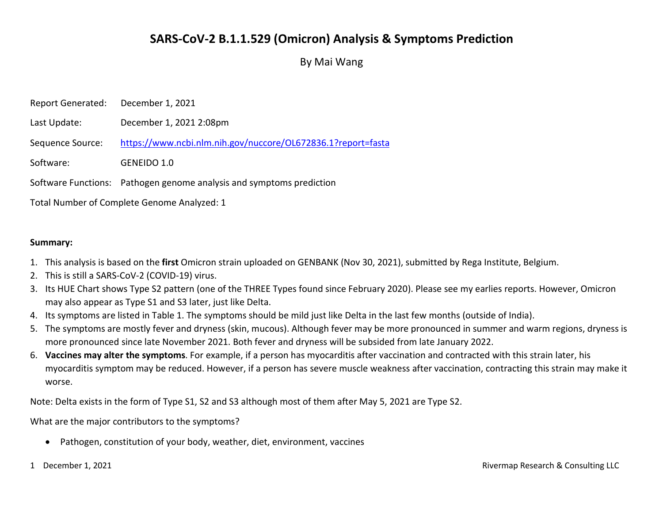## SARS-CoV-2 B.1.1.529 (Omicron) Analysis & Symptoms Prediction

By Mai Wang

| <b>Report Generated:</b>                    | December 1, 2021                                                     |
|---------------------------------------------|----------------------------------------------------------------------|
| Last Update:                                | December 1, 2021 2:08pm                                              |
| Sequence Source:                            | https://www.ncbi.nlm.nih.gov/nuccore/OL672836.1?report=fasta         |
| Software:                                   | GENEIDO 1.0                                                          |
|                                             | Software Functions: Pathogen genome analysis and symptoms prediction |
| Total Number of Complete Genome Analyzed: 1 |                                                                      |

Summary:

- 1. This analysis is based on the first Omicron strain uploaded on GENBANK (Nov 30, 2021), submitted by Rega Institute, Belgium.
- 2. This is still a SARS-CoV-2 (COVID-19) virus.
- 3. Its HUE Chart shows Type S2 pattern (one of the THREE Types found since February 2020). Please see my earlies reports. However, Omicron may also appear as Type S1 and S3 later, just like Delta.
- 4. Its symptoms are listed in Table 1. The symptoms should be mild just like Delta in the last few months (outside of India).
- 5. The symptoms are mostly fever and dryness (skin, mucous). Although fever may be more pronounced in summer and warm regions, dryness is more pronounced since late November 2021. Both fever and dryness will be subsided from late January 2022.
- 6. Vaccines may alter the symptoms. For example, if a person has myocarditis after vaccination and contracted with this strain later, his myocarditis symptom may be reduced. However, if a person has severe muscle weakness after vaccination, contracting this strain may make it worse.

Note: Delta exists in the form of Type S1, S2 and S3 although most of them after May 5, 2021 are Type S2.

What are the major contributors to the symptoms?

Pathogen, constitution of your body, weather, diet, environment, vaccines